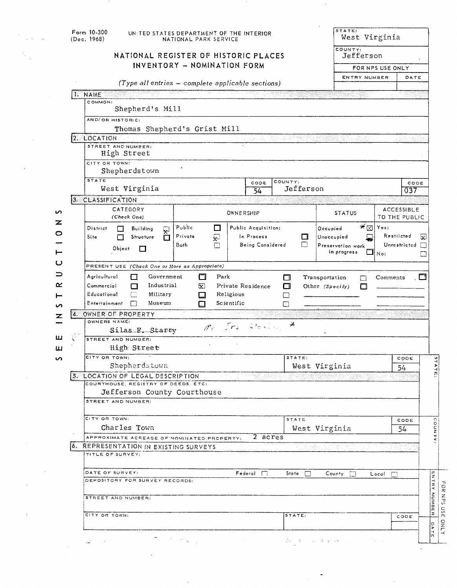| Form 10-300<br>UNITED STATES DEPARTMENT OF THE INTERIOR<br>(Dec. 1968)<br>NATIONAL PARK SERVICE |                                                   |                  |                     |              |         |                        | West Virginia<br>COUNTY: |                  |                                    |      |
|-------------------------------------------------------------------------------------------------|---------------------------------------------------|------------------|---------------------|--------------|---------|------------------------|--------------------------|------------------|------------------------------------|------|
| NATIONAL REGISTER OF HISTORIC PLACES                                                            |                                                   |                  |                     | Jefferson    |         |                        |                          |                  |                                    |      |
| INVENTORY - NOMINATION FORM                                                                     |                                                   |                  |                     |              |         |                        |                          | FOR NPS USE ONLY |                                    |      |
|                                                                                                 | (Type all entries - complete applicable sections) |                  |                     |              |         |                        | ENTRY NUMBER             |                  | DATE                               |      |
| <b>NAME</b>                                                                                     |                                                   |                  |                     |              |         |                        |                          |                  |                                    |      |
| COMMON:                                                                                         |                                                   |                  |                     |              |         |                        |                          |                  |                                    |      |
| Shepherd's Mill                                                                                 |                                                   |                  |                     |              |         |                        |                          |                  |                                    |      |
| AND/OR HISTORIC:                                                                                |                                                   |                  |                     |              |         |                        |                          |                  |                                    |      |
| Thomas Shepherd's Grist Mill                                                                    |                                                   |                  |                     |              |         |                        |                          |                  |                                    |      |
| 2. LOCATION<br>STREET AND NUMBER:                                                               |                                                   |                  |                     |              |         |                        |                          |                  |                                    |      |
| High Street                                                                                     |                                                   |                  |                     |              |         |                        |                          |                  |                                    |      |
| CITY OR TOWN:                                                                                   |                                                   |                  |                     |              |         |                        |                          |                  |                                    |      |
| Shepherdstown                                                                                   |                                                   |                  |                     |              |         |                        |                          |                  |                                    |      |
| <b>STATE</b>                                                                                    |                                                   |                  | CODE                | COUNTY:      |         |                        |                          |                  |                                    | CODE |
| West Virginia                                                                                   |                                                   |                  | 54                  | Jefferson    |         |                        |                          |                  | 037                                |      |
| 3. CLASSIFICATION                                                                               | dri tranje,                                       |                  |                     |              |         |                        |                          |                  |                                    |      |
| CATEGORY<br>(Check One)                                                                         |                                                   | OWNERSHIP        |                     |              |         | <b>STATUS</b>          |                          |                  | <b>ACCESSIBLE</b><br>TO THE PUBLIC |      |
|                                                                                                 | Public                                            |                  | Public Acquisition: |              |         |                        | $*_{\boxtimes}$          | Yes:             |                                    |      |
| District<br><b>Building</b><br>딫<br>Structure<br>Site<br>П                                      | $\Box$<br>Private<br>₽                            |                  | In Process          |              | □       | Occupied<br>Unoccupied |                          |                  | Restricted                         | ⊡    |
|                                                                                                 | Both<br>П                                         | Being Considered |                     |              | n       | Preservation work      |                          | Unrestricted [   |                                    |      |
| Object<br>O                                                                                     |                                                   |                  |                     |              |         | in progress            |                          | $\Box $ No:      |                                    |      |
| PRESENT USE (Check One or More as Appropriate)                                                  |                                                   |                  |                     |              |         |                        |                          |                  |                                    |      |
| Agricultural<br>Government<br>□<br>Park<br>П<br>Transportation<br>Comments<br>. 그               |                                                   |                  |                     |              |         |                        |                          |                  |                                    |      |
| Industrial<br>Commercial<br>Private Residence<br>⊠.<br>Other (Specify)                          |                                                   |                  |                     |              |         |                        |                          |                  |                                    |      |
|                                                                                                 |                                                   |                  |                     | □            |         |                        |                          |                  |                                    |      |
| □<br>Educational<br>Military                                                                    | □                                                 | Religious        |                     | П<br>П       |         |                        |                          |                  |                                    |      |
| Entertainment<br>Museum<br>П                                                                    | О                                                 | Scientific       |                     | □            |         |                        |                          |                  |                                    |      |
| 4. OWNER OF PROPERTY                                                                            |                                                   |                  |                     |              |         |                        |                          |                  |                                    |      |
| OWNERS NAME:                                                                                    |                                                   |                  | Chevel Vie          | ⊁            |         |                        |                          |                  |                                    |      |
| Silas E. Starry                                                                                 | m <sub>r</sub>                                    |                  |                     |              |         |                        |                          |                  |                                    |      |
| STREET AND NUMBER:                                                                              |                                                   |                  |                     |              |         |                        |                          |                  |                                    |      |
| High Street<br>CITY OR TOWN:                                                                    |                                                   |                  |                     | STATE:       |         |                        |                          |                  | CODE                               |      |
| Shepherdstown                                                                                   |                                                   |                  |                     |              |         | West Virginia          |                          |                  | 54                                 |      |
| 5. LOCATION OF LEGAL DESCRIPTION                                                                |                                                   |                  |                     |              |         |                        |                          |                  |                                    |      |
| COURTHOUSE, REGISTRY OF DEEDS. ETC.                                                             |                                                   |                  |                     |              |         |                        |                          |                  |                                    |      |
| Jefferson County Courthouse                                                                     |                                                   |                  |                     |              |         |                        |                          |                  |                                    |      |
| STREET AND NUMBER:                                                                              |                                                   |                  |                     |              |         |                        |                          |                  |                                    |      |
| CITY OR TOWN:                                                                                   |                                                   |                  |                     | <b>STATE</b> |         |                        |                          |                  |                                    |      |
| Charles Town                                                                                    |                                                   |                  |                     |              |         |                        |                          |                  | CODE<br>54                         |      |
| APPROXIMATE ACREAGE OF NOMINATED PROPERTY:                                                      |                                                   |                  | 2 acres             |              |         | West Virginia          |                          |                  |                                    |      |
| <b>6. REPRESENTATION IN EXISTING SURVEYS</b>                                                    |                                                   |                  |                     |              | Palitan |                        |                          | 그리 아이는 나라 중국에 많은 |                                    |      |
| TITLE OF SURVEY:                                                                                |                                                   |                  |                     |              |         |                        |                          |                  |                                    |      |
|                                                                                                 |                                                   |                  |                     |              |         |                        |                          |                  |                                    |      |
| DATE OF SURVEY:                                                                                 |                                                   |                  | Federol             | State $\Box$ |         | County                 | П                        | $Local$ $\Box$   |                                    |      |
| DEPOSITORY FOR SURVEY RECORDS:                                                                  |                                                   |                  |                     |              |         |                        |                          |                  |                                    |      |
| STREET AND NUMBER:                                                                              |                                                   |                  |                     |              |         |                        |                          |                  |                                    |      |
|                                                                                                 |                                                   |                  |                     |              |         |                        |                          |                  |                                    |      |
| CITY OR TOWN:                                                                                   |                                                   |                  |                     | STATE:       |         |                        |                          |                  | CODE                               |      |

l,

 $\overline{\phantom{a}}$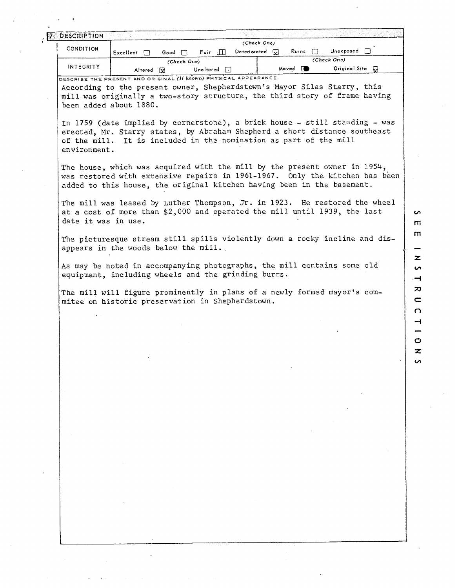|                     | $Excellent$ $\Box$     | Foir $\Box$<br>Good                                                                                                                                                                                                                | Deteriorated $\Box$ | Ruins<br>1 I       | Unexposed        |  |
|---------------------|------------------------|------------------------------------------------------------------------------------------------------------------------------------------------------------------------------------------------------------------------------------|---------------------|--------------------|------------------|--|
| INTEGRITY           |                        | (Check One)                                                                                                                                                                                                                        |                     |                    | (Check One)      |  |
|                     | Altered [x]            | Unaltered $\Box$<br>DESCRIBE THE PRESENT AND ORIGINAL (If known) PHYSICAL APPEARANCE                                                                                                                                               |                     | Moved <sup>1</sup> | Original Site Co |  |
|                     | been added about 1880. | According to the present owner, Shepherdstown's Mayor Silas Starry, this<br>mill was originally a two-story structure, the third story of frame having                                                                             |                     |                    |                  |  |
| environment.        |                        | In 1759 (date implied by cornerstone), a brick house - still standing - was<br>erected, Mr. Starry states, by Abraham Shepherd a short distance southeast<br>of the mill. It is included in the nomination as part of the mill     |                     |                    |                  |  |
|                     |                        | The house, which was acquired with the mill by the present owner in 1954,<br>was restored with extensive repairs in 1961-1967. Only the kitchen has been<br>added to this house, the original kitchen having been in the basement. |                     |                    |                  |  |
| date it was in use. |                        | The mill was leased by Luther Thompson, Jr. in 1923. He restored the wheel<br>at a cost of more than \$2,000 and operated the mill until 1939, the last                                                                            |                     |                    |                  |  |
|                     |                        | The picturesque stream still spills violently down a rocky incline and dis-<br>appears in the woods below the mill.                                                                                                                |                     |                    |                  |  |
|                     |                        | As may be noted in accompanying photographs, the mill contains some old<br>equipment, including wheels and the grinding burrs.                                                                                                     |                     |                    |                  |  |
|                     |                        | The mill will figure prominently in plans of a newly formed mayor's com-                                                                                                                                                           |                     |                    |                  |  |
|                     |                        | mitee on historic preservation in Shepherdstown.                                                                                                                                                                                   |                     |                    |                  |  |
|                     |                        |                                                                                                                                                                                                                                    |                     |                    |                  |  |
|                     |                        |                                                                                                                                                                                                                                    |                     |                    |                  |  |
|                     |                        |                                                                                                                                                                                                                                    |                     |                    |                  |  |
|                     |                        |                                                                                                                                                                                                                                    |                     |                    |                  |  |
|                     |                        |                                                                                                                                                                                                                                    |                     |                    |                  |  |
|                     |                        |                                                                                                                                                                                                                                    |                     |                    |                  |  |
|                     |                        |                                                                                                                                                                                                                                    |                     |                    |                  |  |
|                     |                        |                                                                                                                                                                                                                                    |                     |                    |                  |  |
|                     |                        |                                                                                                                                                                                                                                    |                     |                    |                  |  |
|                     |                        |                                                                                                                                                                                                                                    |                     |                    |                  |  |
|                     |                        |                                                                                                                                                                                                                                    |                     |                    |                  |  |
|                     |                        |                                                                                                                                                                                                                                    |                     |                    |                  |  |
|                     |                        |                                                                                                                                                                                                                                    |                     |                    |                  |  |
|                     |                        |                                                                                                                                                                                                                                    |                     |                    |                  |  |
|                     |                        |                                                                                                                                                                                                                                    |                     |                    |                  |  |
|                     |                        |                                                                                                                                                                                                                                    |                     |                    |                  |  |
|                     |                        |                                                                                                                                                                                                                                    |                     |                    |                  |  |

 $\bar{z}$ 

 $\alpha$ 

 $\alpha$  and  $\alpha$ 

 $\ddot{\bullet}$ 

 $\ddot{\cdot}$ 

 $\ddot{\phantom{0}}$ 

 $\label{eq:2.1} \frac{1}{\sqrt{2}}\int_{\mathbb{R}^3}\frac{1}{\sqrt{2}}\left(\frac{1}{\sqrt{2}}\right)^2\frac{1}{\sqrt{2}}\left(\frac{1}{\sqrt{2}}\right)^2\frac{1}{\sqrt{2}}\left(\frac{1}{\sqrt{2}}\right)^2\frac{1}{\sqrt{2}}\frac{1}{\sqrt{2}}\frac{1}{\sqrt{2}}\frac{1}{\sqrt{2}}\frac{1}{\sqrt{2}}\frac{1}{\sqrt{2}}\frac{1}{\sqrt{2}}\frac{1}{\sqrt{2}}\frac{1}{\sqrt{2}}\frac{1}{\sqrt{2}}\frac{1}{\sqrt{2}}\frac$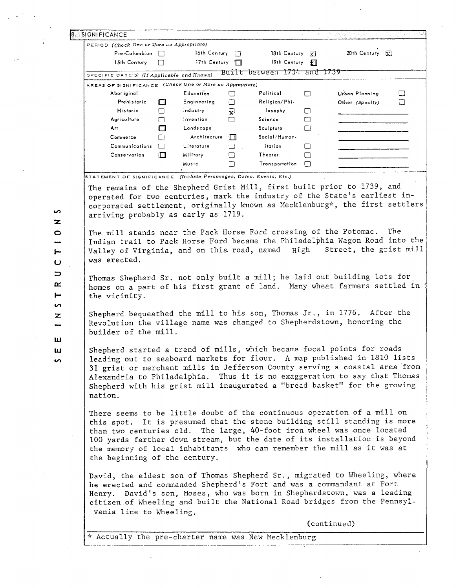|         |                                                                     |        | PERIOD (Check One or More as Appropriate) |        |                             |        |                                                                                                                                                                                                                                                                                                                                                                                            |
|---------|---------------------------------------------------------------------|--------|-------------------------------------------|--------|-----------------------------|--------|--------------------------------------------------------------------------------------------------------------------------------------------------------------------------------------------------------------------------------------------------------------------------------------------------------------------------------------------------------------------------------------------|
|         | $Pre-Columnbin$                                                     |        | 16th Century $\Box$                       |        | 18th Century $\overline{X}$ |        | 20th Century [x]                                                                                                                                                                                                                                                                                                                                                                           |
|         | 15th Century                                                        | Ш      | 17th Century $\Box$                       |        | 19th Century $\mathbb{R}$   |        |                                                                                                                                                                                                                                                                                                                                                                                            |
|         | SPECIFIC DATE(S) (If Applicable and Known)                          |        |                                           |        | Built between 1734 and 1739 |        |                                                                                                                                                                                                                                                                                                                                                                                            |
|         | AREAS OF SIGNIFICANCE (Check One or More as Appropriate)            |        |                                           |        |                             |        |                                                                                                                                                                                                                                                                                                                                                                                            |
|         | Abor iginal                                                         |        | <b>Education</b>                          | $\Box$ | Political                   | □      | Urban Planning<br>□                                                                                                                                                                                                                                                                                                                                                                        |
|         | Prehistoric                                                         | П      | Engineering                               | $\Box$ | Religion/Phi-               |        | Other (Specify)<br>□                                                                                                                                                                                                                                                                                                                                                                       |
|         | Historic                                                            | П      | Industry                                  | 囨      | losophy                     | $\Box$ |                                                                                                                                                                                                                                                                                                                                                                                            |
|         | Agriculture                                                         | П      | Invention                                 | П      | Science                     | □      |                                                                                                                                                                                                                                                                                                                                                                                            |
|         | Ärt                                                                 | ПI     | Landscape                                 |        | Sculpture                   | $\Box$ |                                                                                                                                                                                                                                                                                                                                                                                            |
|         | Commerce                                                            | □      | Architecture                              | O      | Social/Human-               |        |                                                                                                                                                                                                                                                                                                                                                                                            |
|         | <b>Communications</b>                                               | ГŊ.    | Literature                                | П      | itarian                     | $\Box$ |                                                                                                                                                                                                                                                                                                                                                                                            |
|         | Conservation                                                        | $\Box$ | <b>Military</b>                           | П      | Theater                     | $\Box$ |                                                                                                                                                                                                                                                                                                                                                                                            |
|         |                                                                     |        | Music                                     | □      | Transportation              | $\Box$ |                                                                                                                                                                                                                                                                                                                                                                                            |
|         | STATEMENT OF SIGNIFICANCE (Include Personages, Dates, Events, Etc.) |        |                                           |        |                             |        |                                                                                                                                                                                                                                                                                                                                                                                            |
|         | arriving probably as early as 1719.                                 |        |                                           |        |                             |        | corporated settlement, originally known as Mecklenburg*, the first settlers<br>The mill stands near the Pack Horse Ford crossing of the Potomac.<br>The                                                                                                                                                                                                                                    |
|         | was erected.                                                        |        |                                           |        |                             |        | Indian trail to Pack Horse Ford became the Philadelphia Wagon Road into the<br>Valley of Virginia, and on this road, named High Street, the grist mill                                                                                                                                                                                                                                     |
|         |                                                                     |        |                                           |        |                             |        |                                                                                                                                                                                                                                                                                                                                                                                            |
|         | the vicinity.                                                       |        |                                           |        |                             |        | Thomas Shepherd Sr. not only built a mill; he laid out building lots for<br>homes on a part of his first grant of land. Many wheat farmers settled in                                                                                                                                                                                                                                      |
|         | builder of the mill.                                                |        |                                           |        |                             |        | Shepherd bequeathed the mill to his son, Thomas Jr., in 1776. After the<br>Revolution the village name was changed to Shepherdstown, honoring the                                                                                                                                                                                                                                          |
| nation. |                                                                     |        |                                           |        |                             |        | Shepherd started a trend of mills, which became focal points for roads<br>leading out to seaboard markets for flour. A map published in 1810 lists<br>31 grist or merchant mills in Jefferson County serving a coastal area from<br>Alexandria to Philadelphia. Thus it is no exaggeration to say that Thomas<br>Shepherd with his grist mill inaugurated a "bread basket" for the growing |
|         | the beginning of the century.                                       |        |                                           |        |                             |        | There seems to be little doubt of the continuous operation of a mill on<br>this spot. It is presumed that the stone building still standing is more<br>than two centuries old. The large, 40-foot iron wheel was once located<br>100 yards farther down stream, but the date of its installation is beyond<br>the memory of local inhabitants who can remember the mill as it was at       |
|         | vania line to Wheeling.                                             |        |                                           |        |                             |        | David, the eldest son of Thomas Shepherd Sr., migrated to Wheeling, where<br>he erected and commanded Shepherd's Fort and was a commandant at Fort<br>Henry. David's son, Moses, who was born in Shepherdstown, was a leading<br>citizen of Wheeling and built the National Road bridges from the Pennsyl-                                                                                 |

 $\hat{\gamma}$ 

 $\frac{1}{\sqrt{2}}$ 

 $\ddot{\phantom{a}}$ 

T I O N RUC

 $\bullet$ 

 $\mathcal{L}_{\text{eff}} \rightarrow \mathcal{L}_{\text{eff}}$  ,  $\mathcal{L}_{\text{eff}}$ 

 $\frac{1}{\sqrt{2}}$ 

 $\ddot{\phantom{0}}$ 

 $\ddot{\phantom{0}}$ 

 $\label{eq:2.1} \frac{1}{\sqrt{2}}\left(\frac{1}{\sqrt{2}}\right)^{\frac{1}{2}}\frac{1}{\sqrt{2}}\left(\frac{1}{\sqrt{2}}\right)^{\frac{1}{2}}\frac{1}{\sqrt{2}}\left(\frac{1}{\sqrt{2}}\right)^{\frac{1}{2}}\frac{1}{\sqrt{2}}\left(\frac{1}{\sqrt{2}}\right)^{\frac{1}{2}}\frac{1}{\sqrt{2}}\left(\frac{1}{\sqrt{2}}\right)^{\frac{1}{2}}\frac{1}{\sqrt{2}}\left(\frac{1}{\sqrt{2}}\right)^{\frac{1}{2}}\frac{1}{\sqrt{2}}\left(\frac{1}{\sqrt$ 

- 
- $5T$
- $\frac{z}{z}$
- $\mathbf{m}$

 $\hat{\mathcal{A}}$ 

 $\frac{1}{2} \frac{1}{2} \frac{1}{2}$ 

 $\hat{\mathcal{A}}$ 

u<br>S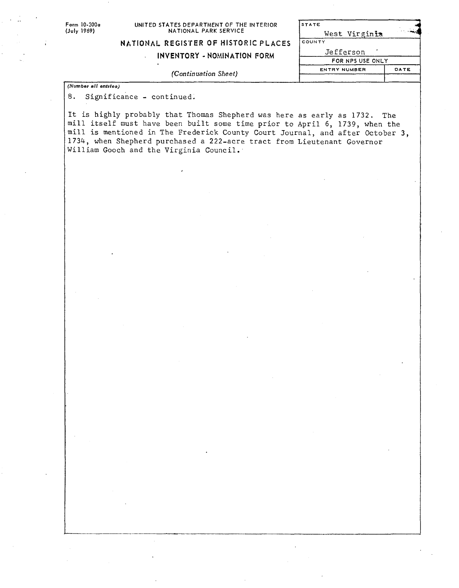| Form 10-300a         | UNITED STATES DEPARTMENT OF THE INTERIOR                            | STATE               |                          |  |  |  |
|----------------------|---------------------------------------------------------------------|---------------------|--------------------------|--|--|--|
| (July 1969).         | NATIONAL PARK SERVICE                                               | West Virginia       |                          |  |  |  |
|                      | NATIONAL REGISTER OF HISTORIC PLACES                                | COUNTY              |                          |  |  |  |
|                      | <b>INVENTORY - NOMINATION FORM</b>                                  | Jefferson           |                          |  |  |  |
|                      |                                                                     | FOR NPS USE ONLY    |                          |  |  |  |
|                      | (Continuation Sheet)                                                | <b>ENTRY NUMBER</b> | DATE                     |  |  |  |
| (Number all entries) |                                                                     |                     |                          |  |  |  |
|                      |                                                                     |                     |                          |  |  |  |
| 8.                   | Significance - continued.                                           |                     |                          |  |  |  |
|                      | Tt is bishly probably that Thomas Chaphamlang tour is well as 1790. |                     | <b>President Company</b> |  |  |  |

It is highly probably that Thomas Shepherd was here as early as 1732. The nil1 itself must have been built some time prior to April 6, 1739, when the mill is mentioned in The Frederick County Court Journal, and after October 3, 1734, when Shepherd purchased a 222-acre tract from Lieutenant Governor William Gooch and the Virginia Council..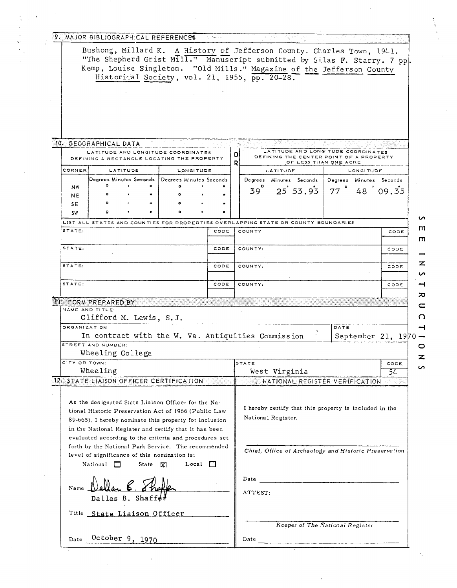|                              | 9. MAJOR BIBLIOGRAPH:CAL REFERENCES                                                                                                                                                                                                                                                                                                                                                                                                   |                                      |      |        |                                 |                                                                                                                                       |                                      |             |
|------------------------------|---------------------------------------------------------------------------------------------------------------------------------------------------------------------------------------------------------------------------------------------------------------------------------------------------------------------------------------------------------------------------------------------------------------------------------------|--------------------------------------|------|--------|---------------------------------|---------------------------------------------------------------------------------------------------------------------------------------|--------------------------------------|-------------|
|                              | Bushong, Millard K. A History of Jefferson County. Charles Town, 1941.<br>"The Shepherd Grist Mill." Manuscript submitted by Silas F. Starry. 7 pp.<br>Kemp, Louise Singleton. "Old Mills." Magazine of the Jefferson County<br>Historical Society, vol. 21, 1955, pp. 20-28.                                                                                                                                                         |                                      |      |        |                                 |                                                                                                                                       |                                      |             |
|                              | 10. GEOGRAPHICAL DATA                                                                                                                                                                                                                                                                                                                                                                                                                 |                                      |      |        |                                 |                                                                                                                                       |                                      |             |
|                              | LATITUDE AND LONGITUDE COORDINATES<br>DEFINING A RECTANGLE LOCATING THE PROPERTY                                                                                                                                                                                                                                                                                                                                                      |                                      |      | o<br>R |                                 | LATITUDE AND LONGITUDE COORDINATES<br>DEFINING THE CENTER POINT OF A PROPERTY                                                         | OF LESS THAN ONE ACRE                |             |
| <b>CORNER</b>                | LATITUDE<br>Degrees Minutes Seconds                                                                                                                                                                                                                                                                                                                                                                                                   | LONGITUDE<br>Degrees Minutes Seconds |      |        |                                 | LATITUDE<br>Degrees Minutes Seconds                                                                                                   | LONGITUDE<br>Degrees Minutes Seconds |             |
| <b>NW</b><br><b>NE</b><br>SE | ۰                                                                                                                                                                                                                                                                                                                                                                                                                                     |                                      |      |        | $39^\circ$                      | $25'$ 53.93                                                                                                                           | $77$ $^{\circ}$<br>$48^{6}09.35$     |             |
| <b>SW</b>                    | LIST ALL STATES AND COUNTIES FOR PROPERTIES OVERLAPPING STATE OR COUNTY BOUNDARIES                                                                                                                                                                                                                                                                                                                                                    |                                      |      |        |                                 |                                                                                                                                       |                                      |             |
| STATE:                       |                                                                                                                                                                                                                                                                                                                                                                                                                                       |                                      | CODE |        | COUNTY                          |                                                                                                                                       |                                      | CODE        |
| STATE:                       |                                                                                                                                                                                                                                                                                                                                                                                                                                       |                                      | CODE |        | COUNTY:                         |                                                                                                                                       |                                      | CODE        |
| STATE:                       |                                                                                                                                                                                                                                                                                                                                                                                                                                       |                                      | CODE |        | COUNTY:                         |                                                                                                                                       |                                      | CODE        |
| STATE:                       |                                                                                                                                                                                                                                                                                                                                                                                                                                       |                                      | CODE |        | COUNTY:                         |                                                                                                                                       |                                      | CODE        |
| <b>ORGANIZATION</b>          | 1). FORM PREPARED BY<br>NAME AND TITLE:<br>Clifford M. Lewis, S.J.<br>In contract with the W. Va. Antiquities Commission<br>STREET AND NUMBER:<br>Wheeling College                                                                                                                                                                                                                                                                    |                                      |      |        |                                 |                                                                                                                                       | DATE<br>September 21, $1970 -$       |             |
| CITY OR TOWN:                | Wheeling                                                                                                                                                                                                                                                                                                                                                                                                                              |                                      |      |        | <b>STATE</b>                    | West Virginia                                                                                                                         |                                      | CODE.<br>54 |
|                              | 12. STATE LIAISON OFFICER CERTIFICATION                                                                                                                                                                                                                                                                                                                                                                                               |                                      |      |        |                                 | NATIONAL REGISTER VERIFICATION                                                                                                        |                                      |             |
|                              | As the designated State Liaison Officer for the Na-<br>tional Historic Preservation Act of 1966 (Public Law<br>89-665), I hereby nominate this property for inclusion<br>in the National Register and certify that it has been<br>evaluated according to the criteria and procedures set<br>forth by the National Park Service. The recommended<br>level of significance of this nomination is:<br>State $\bar{x}$<br>National $\Box$ | Local $\Box$                         |      |        |                                 | I hereby certify that this property is included in the<br>National Register.<br>Chief, Office of Archeology and Historic Preservation |                                      |             |
| Name<br>Dallas B. Shaffer    |                                                                                                                                                                                                                                                                                                                                                                                                                                       |                                      |      |        | Date<br>ATTEST:                 |                                                                                                                                       |                                      |             |
|                              | Title State Liaison Officer                                                                                                                                                                                                                                                                                                                                                                                                           |                                      |      |        | Keeper of The National Register |                                                                                                                                       |                                      |             |
|                              | October 9, 1970                                                                                                                                                                                                                                                                                                                                                                                                                       |                                      |      |        |                                 |                                                                                                                                       |                                      |             |

 $\frac{1}{2}$ 

 $\label{eq:2.1} \frac{d\mathbf{r}}{d\mathbf{r}} = \frac{1}{2} \left( \frac{d\mathbf{r}}{d\mathbf{r}} + \frac{d\mathbf{r}}{d\mathbf{r}} \right) \mathbf{r} + \frac{d\mathbf{r}}{d\mathbf{r}} \mathbf{r} + \frac{d\mathbf{r}}{d\mathbf{r}} \mathbf{r} + \frac{d\mathbf{r}}{d\mathbf{r}} \mathbf{r} + \frac{d\mathbf{r}}{d\mathbf{r}} \mathbf{r} + \frac{d\mathbf{r}}{d\mathbf{r}} \mathbf{r} + \frac{d\mathbf{r}}$ 

 $\frac{1}{2}$ 

1995).<br>1997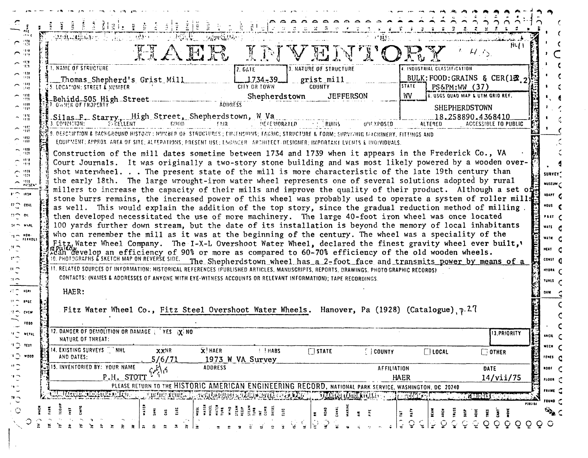|                                                     | a a a a a a a a a a                                                                                                                                                                                                                                   |
|-----------------------------------------------------|-------------------------------------------------------------------------------------------------------------------------------------------------------------------------------------------------------------------------------------------------------|
| on e                                                | $\mathbb{P}[\mathcal{H}^{\mathcal{G}}_{\mathcal{P}}, \mathcal{G}^{\mathcal{G}}_{\mathcal{P}}] = [\mathcal{G}^{\mathcal{G}}_{\mathcal{Q}}] \mathcal{G}^{\mathcal{G}}_{\mathcal{Q}}]$<br>Service March 1996<br>$\sim 0.001$<br>$\sim 0.3$ .             |
| $\subset$ $\mathbb{Z}$                              | 84 L                                                                                                                                                                                                                                                  |
| $\cap$ $\mathbb{R}^n$                               | HAER INVENTORY                                                                                                                                                                                                                                        |
| $\frown \frac{92}{12}$                              | <b>1. NAME OF STRUCTURE</b><br>4. INDUSTRIAL CLASSIFICATION<br><b>3. NATURE OF STRUCTURE</b><br>2.041E                                                                                                                                                |
| $\sim$ 111<br>$-1119$                               | BULK: FOOD: GRAINS & CER(12 $\sigma$<br>Thomas Shepherd's Grist Mill<br>$-1.734 - 39$<br>grist mill                                                                                                                                                   |
| $\sim$ 10<br>- 100                                  | STATE<br>CITY OR TOWN<br><b>COUNTY</b><br>$PS\&PM:WW(37)$<br>5. LOCATION: STREET & NUMBER                                                                                                                                                             |
| $\cap$ $\mathfrak{M}$                               | 6. USGS QUAD MAP & UTM GRID REF.<br>Shepherdstown<br>WV<br><b>JEFFERSON</b><br><b>ADDRESS</b>                                                                                                                                                         |
| $\sim$ $\frac{100}{10}$                             | SHEPHERDSTOWN                                                                                                                                                                                                                                         |
| $\sim$ $\frac{m}{m}$                                | Silas F. Starry, High Street, Shepherdstown, W.Va. 3. COMBINION: EXCELLENT COOD FAIR<br>18.258890.4368410<br><b>DECERIORATED AND RUINS</b><br>UNEXPOSED<br>ALTERED<br><b>ACCESSIBLE TO PUBLIC</b>                                                     |
| $\sim$ 36                                           | 9. DESCRIPTION & BACKGROUND HISTORY : MUMBER OF STAUCHURES ; CHAEHSINNS; FABRIC; STRUCTURE & FORM; SURVIVING MACHINERY, FITTINGS AND                                                                                                                  |
| $\sim$ $\frac{103}{103}$                            | EQUIPMENT: APPROX. AREA OF SITE: ALTERATIONS: PRESENT USE: LNGINCER ARCHITECT-DESIGNER: IMPORTANT EVENTS & INDIVIDUALS.                                                                                                                               |
| $\bigcap_{i=1}^{1510}$                              | Construction of the mill dates sometime between 1734 and 1739 when it appears in the Frederick Co., VA                                                                                                                                                |
| e 33                                                | Court Journals. It was originally a two-story stone building and was most likely powered by a wooden over-                                                                                                                                            |
| $\mathbb{C}$ $\mathbb{R}^n$                         | shot waterwheel. The present state of the mill is more characteristic of the late 19th century than<br>SURVEY"                                                                                                                                        |
| $\sim$ 1930 $\sim$                                  | the early 18th. The large wrought-iron water wheel represents one of several solutions adopted by rural<br>MUSEUM C<br>millers to increase the capacity of their mills and improve the quality of their product. Although a set of                    |
| <b>. 180M</b>                                       | ADAPT C<br>stone burrs remains, the increased power of this wheel was probably used to operate a system of roller mills                                                                                                                               |
| $\mathfrak{r}$ $\sim$ $\mathfrak{r}$ $\mathfrak{r}$ | Hous<br>as well. This would explain the addition of the top story, since the gradual reduction method of milling.                                                                                                                                     |
| $m \sim m$                                          | then developed necessitated the use of more machinery. The large 40-foot iron wheel was once located<br>PAET $\epsilon$                                                                                                                               |
| $u \sim v$ skt                                      | 100 yards further down stream, but the date of its installation is beyond the memory of local inhabitants<br>wars e                                                                                                                                   |
| $\epsilon_5 \rightarrow 0.000$<br>FERROLS           | who can remember the mill as it was at the beginning of the century. The wheel was a speciality of the<br>WATH C<br>Fitz Water Wheel Company. The I-X-L Overshoot Water Wheel, declared the finest gravity wheel ever built,                          |
|                                                     | HEAT <sub>C</sub><br>Reference of the original efficiency of 90% or more as compared to 60-70% efficiency of the old wooden wheels.<br>10. PHOTOGRAPHS & SKETCH MAP ON REVERSE SIDE. The Shepherdstown wheel has a 2-foot face and transmits power by |
| $\mathfrak{r} \bigcirc$                             | const C<br>The Shepherdstown wheel has a 2-foot face and transmits power by means of a                                                                                                                                                                |
| $\mathbf{u}$ $\sim$                                 | 11. RELATED SOURCES OF INFORMATION: HISTORICAL REFERENCES (PUBLISHED ARTICLES, MANUSCRIPTS, REPORTS, DRAWINGS, PHOTOGRAPHIC RECORDS)<br>HYDRA C                                                                                                       |
| $\mathbf{H}$                                        | CONTACTS: (NAMES & ADDRESSES OF ANYONE WITH EYE-WITNESS ACCOUNTS OR RELEVANT INFORMATION); TAPE RECORDINGS.<br>م TUNES                                                                                                                                |
| $25 - 100$                                          | HAER:<br><b>DAM</b>                                                                                                                                                                                                                                   |
| $H \cap \text{PGC}$                                 | Fitz Water Wheel Co., Fitz Steel Overshoot Water Wheels. Hanover, Pa (1928) (Catalogue), $p.27$                                                                                                                                                       |
| אזים ריו                                            |                                                                                                                                                                                                                                                       |
| 1000                                                | 12. DANGER OF DEMOLITION OR DAMAGE TYES IX NO                                                                                                                                                                                                         |
| $\mathbf{u} = \mathbf{v}$ erat                      | 13. PRIORITY<br>ARCH<br>NATURE OF THREAT:<br>K.                                                                                                                                                                                                       |
| $\mathfrak{m}\subsetneq v$                          | MECH <sub>C</sub><br>14. EXISTING SURVEYS [ NHL<br>XXNR<br>$\overline{\mathbf{x}}$ HAER<br><b>I I HABS</b><br>$\Box$ STATE<br>$[$ $]$ county<br>$\Box$ LOCAL<br>$\Box$ OTHER                                                                          |
| $\circ$ ooo                                         | AND DATES:<br>FENES C<br>5/6/71<br>1973 W VA Survey                                                                                                                                                                                                   |
| $^{\prime\prime}$ $\mathbb C$                       | 15. INVENTORIED BY: YOUR NAME<br><b>ADDRESS</b><br>AFFILIATION<br><b>DATE</b><br>100F<br>$c\ell_1^{\prime\prime}$                                                                                                                                     |
| $\alpha$                                            | P.H. STOTT<br><b>HAER</b><br>14/vii/75<br>fLOOR<br>PLEASE RETURN TO THE HISTORIC AMERICAN ENGINEERING RECORD, NATIONAL PARK SERVICE, WASHINGTON, DC 20240                                                                                             |
| $\mathcal{M}$                                       | FRAME C<br>LUZQUIL CLEANILE ACTED<br><b>ARDIE RUNER</b><br>ETRINAIKINJAHEER AANALISE AAN KEENAALISE KANSA KAN<br><b>FILINAL INFORMATION</b><br><b>MATED MARK</b><br><b>TARIOGES EN</b>                                                                |
| $\mathbf{v}$                                        | rouno U<br><b>PIRELEA</b>                                                                                                                                                                                                                             |
| $\circ$                                             | Ë<br>WATE<br>WHEEL<br>WATER TO MAN<br>WINDOW WHE<br><b>Si</b><br>ä<br>ک کلیجی<br>ËĒ<br>$\overline{z}$ $\overline{S}$<br>$\ddot{3}$<br>ΡĒ<br>ē<br>÷<br>ą<br>÷                                                                                          |
|                                                     | $\circ$<br>QQ<br>$\circ$<br>$\circ$<br>$Q$ $O$                                                                                                                                                                                                        |

 $\mathcal{L}_{\mathbf{A}}$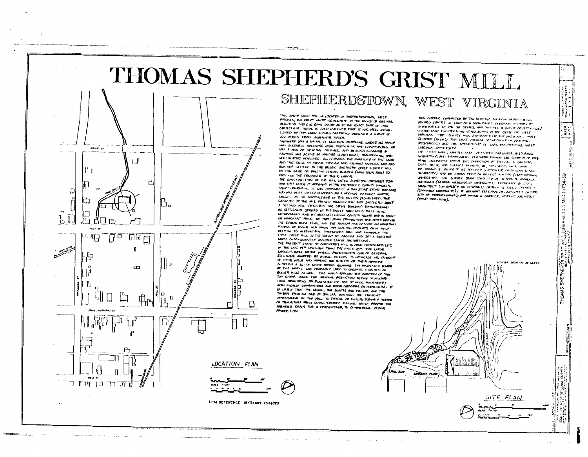

## SHEPHERDSTOWN, WEST VIRGINIA

WORETE FLUTE

THIS EARLY GRIST MILL IS LOCATED IN SHEPHERDSTOWN, WEST WRGINIA, THE FIRST WHITE SETTLEMENT IN THE WALLEY OF VIRGINIA. ALTHOUGH THERE IS SOME DOUBT AS TO THE EXACT DATE OF THIS SETTLEMENT, THERE IS GOVE EVIDENCE THAT IT NUS WELL ESTAB-LISHED BY 1754 WHEN THOMAS SHEFHERD RECEIVED A GRANT OF 222 ACRES FROM GOVERNOR GOOGLE

SHEPHERD WAS A NATIVE OF WESTERN MARVLAND, WHERE HIS FAMILY HAD SIZEABLE HOLDINGS NEAR FRETERICK AND GHARTSBURG. HE WAS A MAN OF SEVERAL TALENTS, AND BESIDES ENGASING A FARMING WAS ACTIVE IN WIRIOUS COMMERCIAL, FROMOTIONAL, AND SPECULATIVE VENTURES, RECOGNIZING THE FERTILITY OF THE LAND AND THE SKILL OF THOSE ENGLISH AND GERMAN FAMILIES WHO HAD ALREADY SETTLED IN THE WILLEY, SHEPHERD BUILT A GRIST MILL ON THE BANK OF FALLING SPRING BRANCH (NOW TOWN RUN) TO FROCESS THE PRODUCTS OF THEIR LABOR.

THE CONSTRUCTION OF THE MILL DATES SOMETIME BETWEEN 1734 AND 1739 WHEN IT APPEARS IN THE FRI-THERICK COUNTY, URGINIA, COURT UNIRNALS. IT WAS CRISINALLY A TWO STORY STONE BUILDING AND WAS MOST LIKELY FUNCRED BY A WODDEN OVERSHOT WATER WHEEL. AS THE AGRICULTURE OF THE REGION FLOURISHED. THE CAPACITY OF THE MILL PROVED INSLIFTICIENT AND SHETHERD BUILT A SECOND MILL (FOSSIBLY THE STONE BUILDING DOWNSTREAM). AS SETTLEMENT SPREAD UP THE VALLEY NUMEROUS MILLS WERE ESTABLISHED, AND BY 1800 VEFFERSON COUNTY ALONE HAD BI GRIST OR MERCHANT MILLS. BY THEN GRAIN FRODUCTION HAD MOVED BEYOND THE SUBSISTENCE LEVEL AND THE REGION HAD BECOME AN IMPORTANT SOURCE OF FLOUR AND GRAIN FOR CONSTAL MARKETS FROM PHILA. DREPHIA TO ALEXANDRIA, SHEPHERD'S MILL WAS FROMABLY THE FIRST GRIST MILL IN THE VALLEY OF VARGINIA AND SET A PATTERN WHICH SUBSEQUENTLY ASSUMED LARGE INOTIORTIONS. THE FRESENT STATE OF SHEPHERDS MILL IS MORE CHARACTERISTIC. OF THE LATE 19<sup>m</sup> CENTURY THAN THE FARLY 10<sup>m</sup>. THE LARGE WROUGHT IRON WATER WHERE RETRESENTS ONE OF SEVERAL SOI UTIONS ADOPTED BY RURAL MILLERS TO INCREASE THE CAPACITY OF THEIR MILLS AND IMPROVE THE QUALITY OF THEIR PRODUCT. ALTHOUSH A SET OF STONE BURRS REMAINS, THE INCREASED ROWER OF THIS WHEEL WAS FROBABLY USED TO OPERATE A SYSTEM OF ROLLER MILLS AS WELL. THIS WOULD EXPLAIN THE ADDITION OF THE TOP STORY, SINCE THE GRADIUM, REDUCTION METHOD OF MILLING THEN DEVELOPING MOCESSITATED THE USE OF MORE MACHINERV! SPECIFICALLY SEPARATORS AND FLOUR DRESSERS OR FURIFIERS. AS LIKELY THAT THE WHEEL, THE SHAFTS AND PULLEWS, AND THE TIMBER FRAMING ARE OF SIMILAR WINTAGE, THE FRESENT AFFEARANCE OF THE MILL IS TYPICAL OF MILLING DURING A FERIOD OF TRANSITION FROM RURAL "CUSTOM" MILLING, WHICH GROUND THE FARMER'S GRAIN FOR A PERCENTAGE, TO COMMERCIAL FLOUR **PRODUCTION.** 

THIS SURVEY, CONDUCTED BY THE HISTORIC AMERICAN FREMIUSRING RECORD (HAER), IS PART OF A LONG RANGE SYDGEAM TO COMPLET! INVENTORIES OF THE 50 STATES, AND INFLUENS A GROUP OF HISTORICALLY SIGNIFICANT ENGINEERING STRUCTURES IN THE STATE OF HEST MRGINNA. THE SURVEY WAS SPONSORED BY THE MATIONAL PARK SERVICE (HAGR); THE WEST VINSHIA LEPARTMENT OF NATURAL RESOURCES; AND THE REPARTMENT OF CIVIL ENGINEERING, WEST VIRGINIA I NIVE ESITY

esa<br>Nysia

6r

iza.

3

ž

SHEPHE

**HOMAS** 

**TON OF MEEL** 

SITE PLAN

THE TIELD WIRE, WRITTEN LATA, ARASURED DRAWINGS, HISTORICAL INVENTORY, AND MIGIOGRAPH'S PRODUCED JURING THE SUMMER OF 1975 MERE PREPARIND UNIVER THE DIRECTION OF DOUSLAS I. GRIFFIN, CHIEF, HAER, MID CHARIES PARROTT, TE, ASCHITECT, HAER, WITH DP DUANE S. ELLIFRIT AS FRAJECT SUPERVISOR (OTLAHOPLA STATE UNIVERSITY) AND DR EMORY KTHP AS PROVICT AINISING (WEST VIPGINIA UNVERSITY). THE SURVEY TEAM CONSISTED OF DENVIS H. ZEMBALA, HISTORIAN (GEORGE WASHINGTON UNIVERSITY), INTOEFICI R LOVE, ARCHITECT (UNIVERSITY OF FLORIDA); PATRICK A FLORY, FACHITECT (COLUMBIA LAINERSITY) ; R BELMONT FREEMAN. VR, ARCHITECT (UNITE SITY OF PENNISYLVANYA); AND WAYNE S. GARRICK, STUDENT ARCHITECT (FRATT INSTITUTE).



Ħ.

ROCKY 51

'' 1

ρ

 $\equiv$ 

 $\overline{a}$ 

 $1 \quad B$ 

 $\underline{\mathbb{H}}$ 

 $\blacksquare$ 

 $\overline{B}$ 

**TIMED LOWER** 

ප

Jo

'nП,

 $\mathbf u$ ľ,

≇lo.



UTM REFERENCE: 18.456869.2584025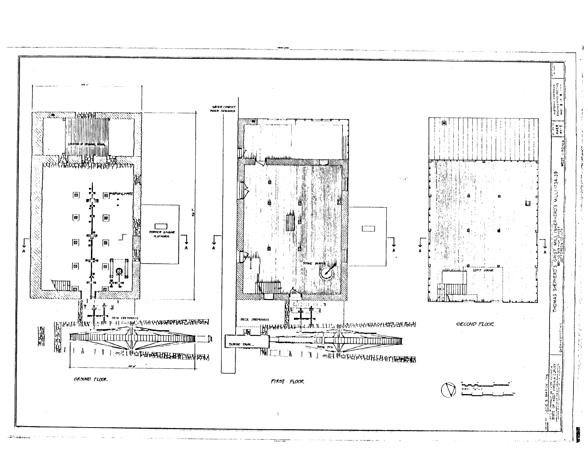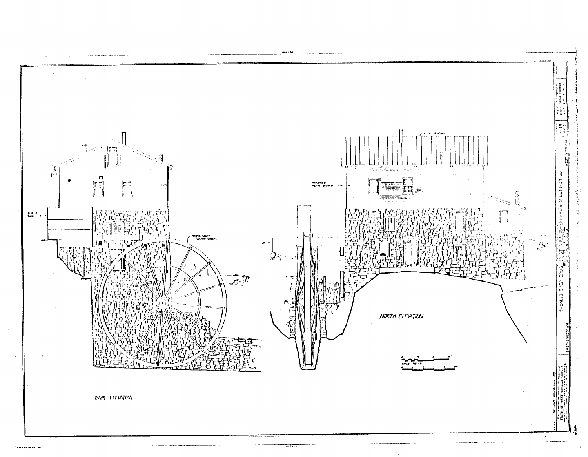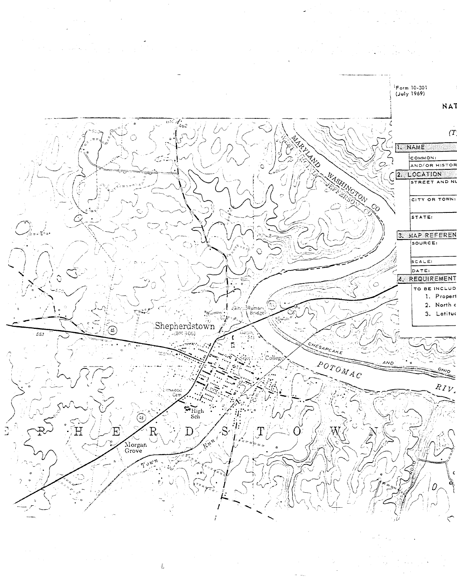